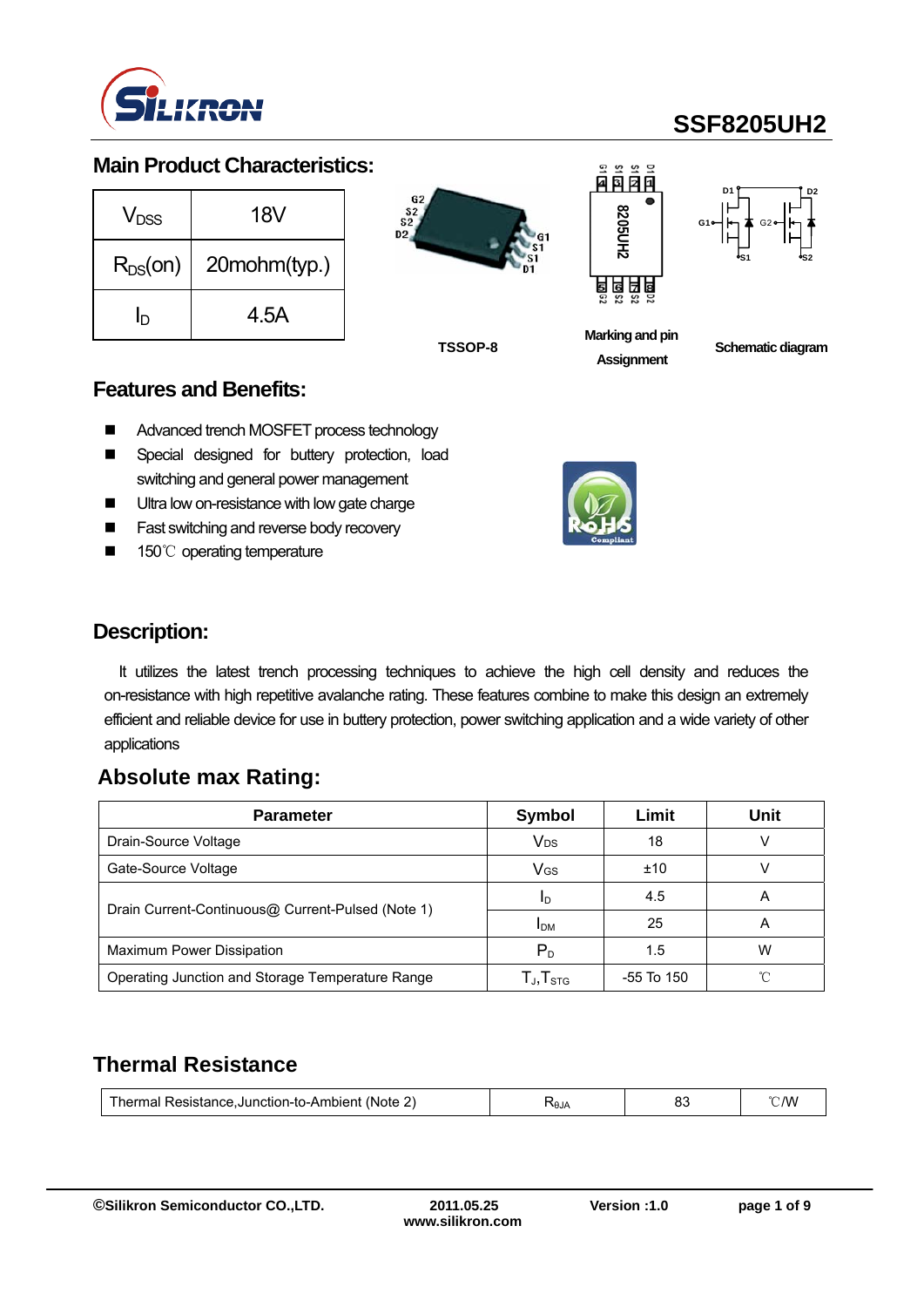

### **Main Product Characteristics:**

| V <sub>DSS</sub> | 18V          |
|------------------|--------------|
| $R_{DS}(on)$     | 20mohm(typ.) |
| ח                | 4.5A         |







**Marking and pin Assignment**



**TSSOP-8 Schematic diagram**

#### **Features and Benefits:**

- Advanced trench MOSFET process technology
- **E** Special designed for buttery protection, load switching and general power management
- **Ultra low on-resistance with low gate charge**
- Fast switching and reverse body recovery
- 150℃ operating temperature



### **Description:**

It utilizes the latest trench processing techniques to achieve the high cell density and reduces the on-resistance with high repetitive avalanche rating. These features combine to make this design an extremely efficient and reliable device for use in buttery protection, power switching application and a wide variety of other applications

### **Absolute max Rating:**

| <b>Parameter</b>                                  | Symbol              | Limit      | Unit |
|---------------------------------------------------|---------------------|------------|------|
| Drain-Source Voltage                              | V <sub>DS</sub>     | 18         |      |
| Gate-Source Voltage                               | $V$ <sub>GS</sub>   | ±10        |      |
|                                                   | ID                  | 4.5        | А    |
| Drain Current-Continuous@ Current-Pulsed (Note 1) | <b>IDM</b>          | 25         | А    |
| Maximum Power Dissipation                         | $P_D$               | 1.5        | w    |
| Operating Junction and Storage Temperature Range  | $T_{J}$ , $T_{STG}$ | -55 To 150 | ∽    |

## **Thermal Resistance**

| Thermal Resistance, Junction-to-Ambient<br>(Note<br><u>.</u> | Al $\theta$ | υu | ' W<br>$\backsim$ 1 |
|--------------------------------------------------------------|-------------|----|---------------------|
|--------------------------------------------------------------|-------------|----|---------------------|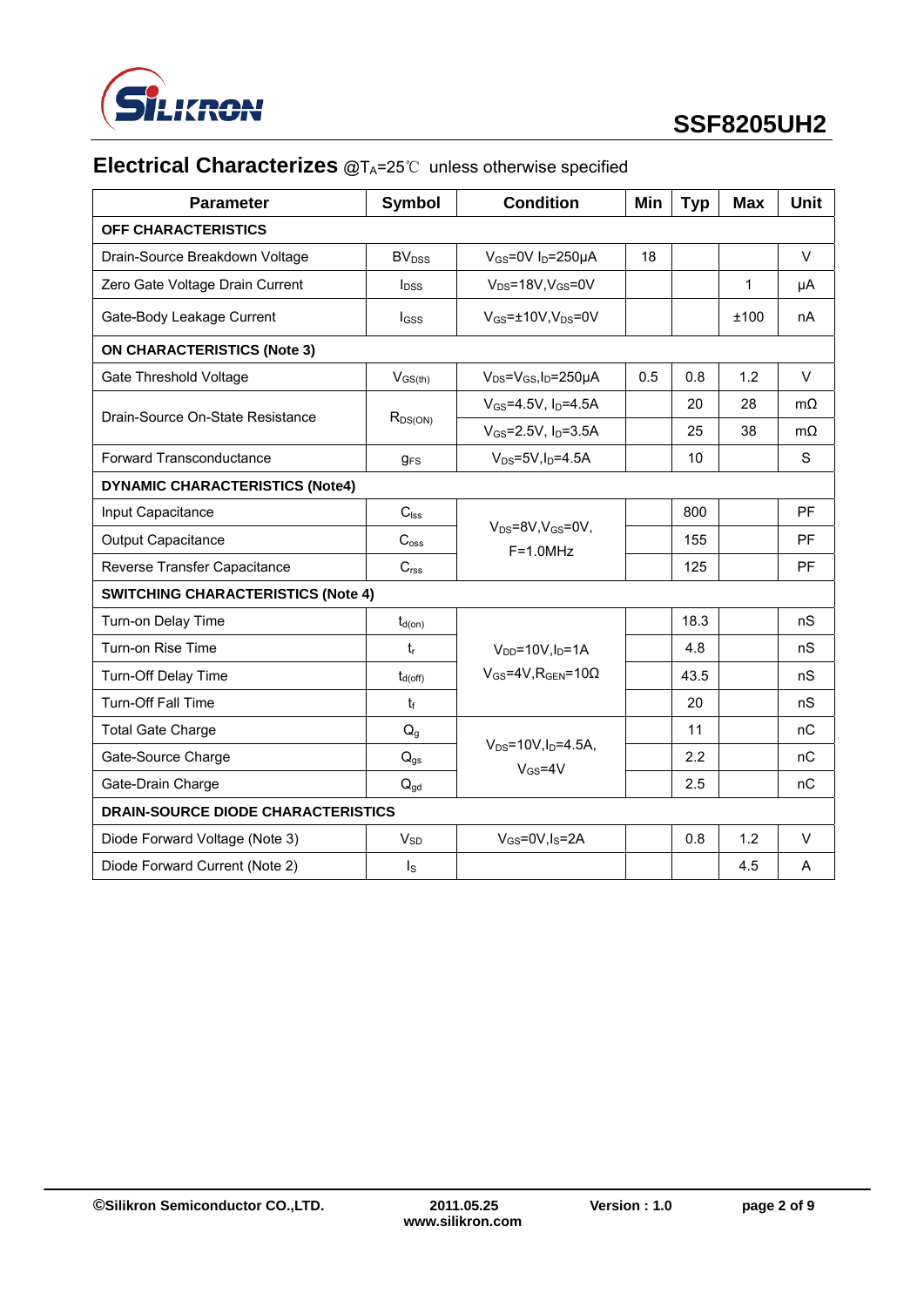

## **Electrical Characterizes** @T<sub>A</sub>=25℃ unless otherwise specified

| <b>Parameter</b>                          | <b>Symbol</b>                             | <b>Condition</b>                                        | Min | <b>Typ</b> | Max  | <b>Unit</b> |
|-------------------------------------------|-------------------------------------------|---------------------------------------------------------|-----|------------|------|-------------|
| OFF CHARACTERISTICS                       |                                           |                                                         |     |            |      |             |
| Drain-Source Breakdown Voltage            | <b>BV</b> <sub>DSS</sub>                  | $V_{GS}$ =0V I <sub>D</sub> =250µA                      | 18  |            |      | $\vee$      |
| Zero Gate Voltage Drain Current           | <b>l</b> <sub>DSS</sub>                   | $V_{DS}$ =18V, $V_{GS}$ =0V                             |     |            | 1    | μA          |
| Gate-Body Leakage Current                 | I <sub>GSS</sub>                          | $V_{GS}$ = $\pm$ 10V, V <sub>DS</sub> =0V               |     |            | ±100 | nA          |
| <b>ON CHARACTERISTICS (Note 3)</b>        |                                           |                                                         |     |            |      |             |
| Gate Threshold Voltage                    | $V_{GS(th)}$                              | $V_{DS} = V_{GS}I_D = 250 \mu A$                        | 0.5 | 0.8        | 1.2  | $\vee$      |
| Drain-Source On-State Resistance          |                                           | $V_{GS} = 4.5V, I_D = 4.5A$                             |     | 20         | 28   | $m\Omega$   |
|                                           | $R_{DS(ON)}$                              | $V_{GS} = 2.5V$ , $I_D = 3.5A$                          |     | 25         | 38   | $m\Omega$   |
| <b>Forward Transconductance</b>           | <b>g</b> <sub>FS</sub>                    | $V_{DS} = 5V$ , $I_D = 4.5A$                            |     | 10         |      | S           |
| <b>DYNAMIC CHARACTERISTICS (Note4)</b>    |                                           |                                                         |     |            |      |             |
| Input Capacitance                         | $C_{\text{lss}}$                          |                                                         |     | 800        |      | PF          |
| <b>Output Capacitance</b>                 | C <sub>oss</sub>                          | $V_{DS} = 8V$ , $V_{GS} = 0V$ ,<br>$F=1.0MHz$           |     | 155        |      | <b>PF</b>   |
| Reverse Transfer Capacitance              | C <sub>rss</sub>                          |                                                         |     | 125        |      | PF          |
|                                           | <b>SWITCHING CHARACTERISTICS (Note 4)</b> |                                                         |     |            |      |             |
| Turn-on Delay Time                        | $t_{d(on)}$                               |                                                         |     | 18.3       |      | nS          |
| Turn-on Rise Time                         | $t_{r}$                                   | $V_{DD} = 10V, I_D = 1A$                                |     | 4.8        |      | nS          |
| Turn-Off Delay Time                       | $t_{d(off)}$                              | $V_{GS}$ =4V, R <sub>GEN</sub> =10 $\Omega$             |     | 43.5       |      | nS          |
| <b>Turn-Off Fall Time</b>                 | $t_{\rm f}$                               |                                                         |     | 20         |      | nS          |
| <b>Total Gate Charge</b>                  | $Q_q$                                     |                                                         |     | 11         |      | nC          |
| Gate-Source Charge                        | $Q_{gs}$                                  | $V_{DS} = 10V, I_D = 4.5A,$<br>$V$ <sub>GS</sub> =4 $V$ |     | 2.2        |      | nC          |
| Gate-Drain Charge                         | $Q_{qd}$                                  |                                                         |     | 2.5        |      | nC          |
| <b>DRAIN-SOURCE DIODE CHARACTERISTICS</b> |                                           |                                                         |     |            |      |             |
| Diode Forward Voltage (Note 3)            | $V_{SD}$                                  | $V_{GS} = 0V$ , $I_S = 2A$                              |     | 0.8        | 1.2  | $\vee$      |
| Diode Forward Current (Note 2)            | $I_{\rm S}$                               |                                                         |     |            | 4.5  | A           |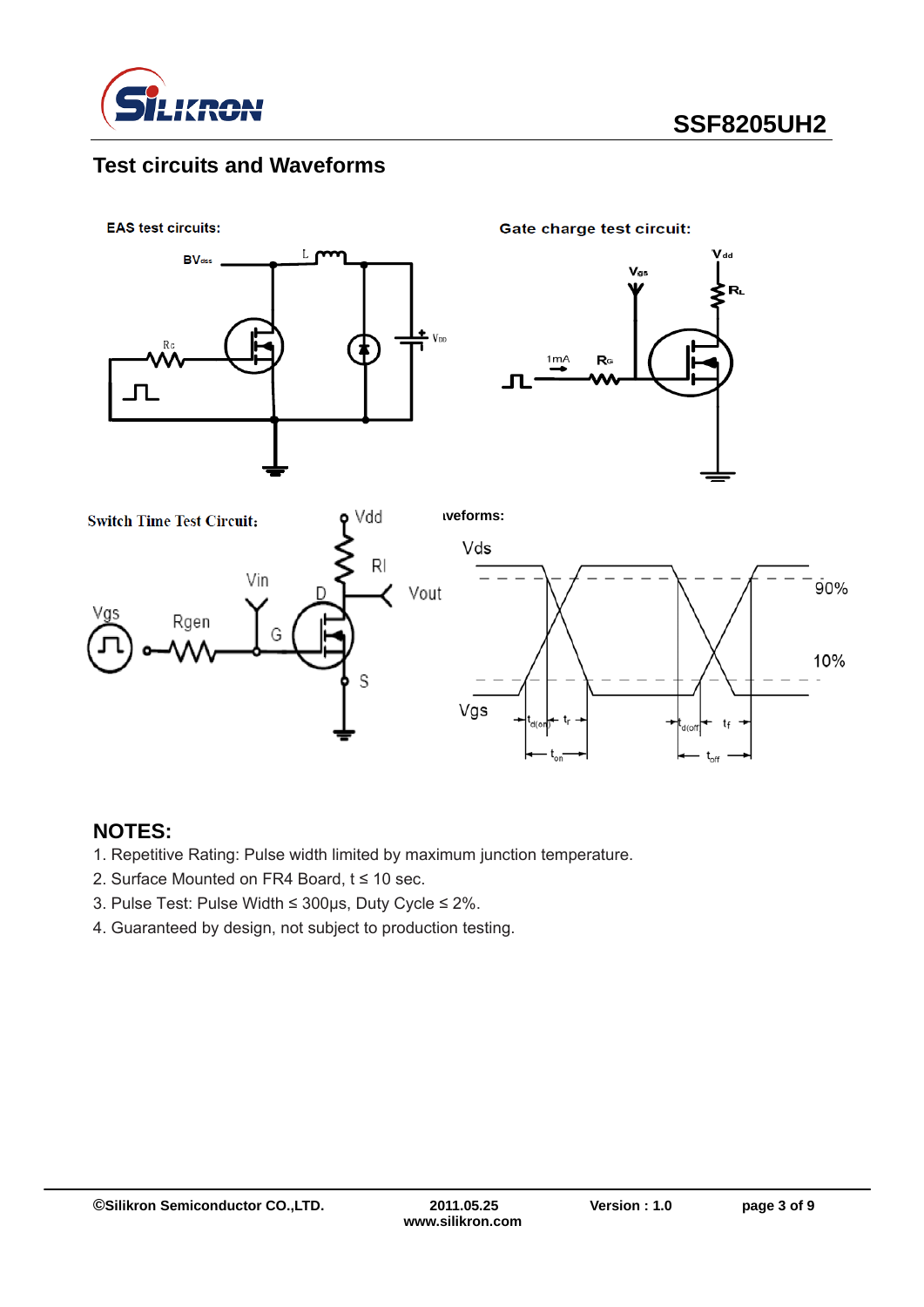

## **Test circuits and Waveforms**



### **NOTES:**

- 1. Repetitive Rating: Pulse width limited by maximum junction temperature.
- 2. Surface Mounted on FR4 Board, t ≤ 10 sec.
- 3. Pulse Test: Pulse Width ≤ 300μs, Duty Cycle ≤ 2%.
- 4. Guaranteed by design, not subject to production testing.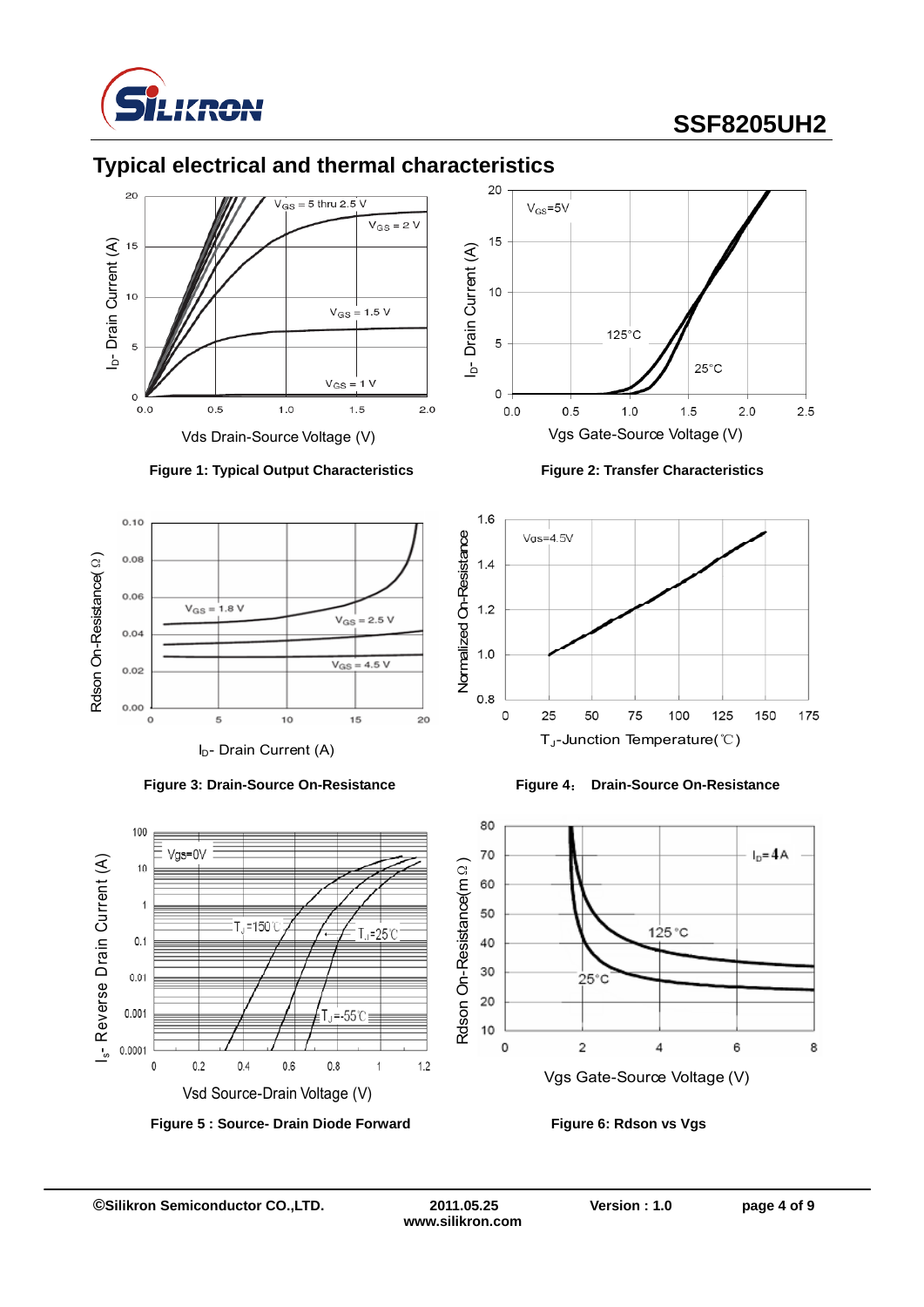















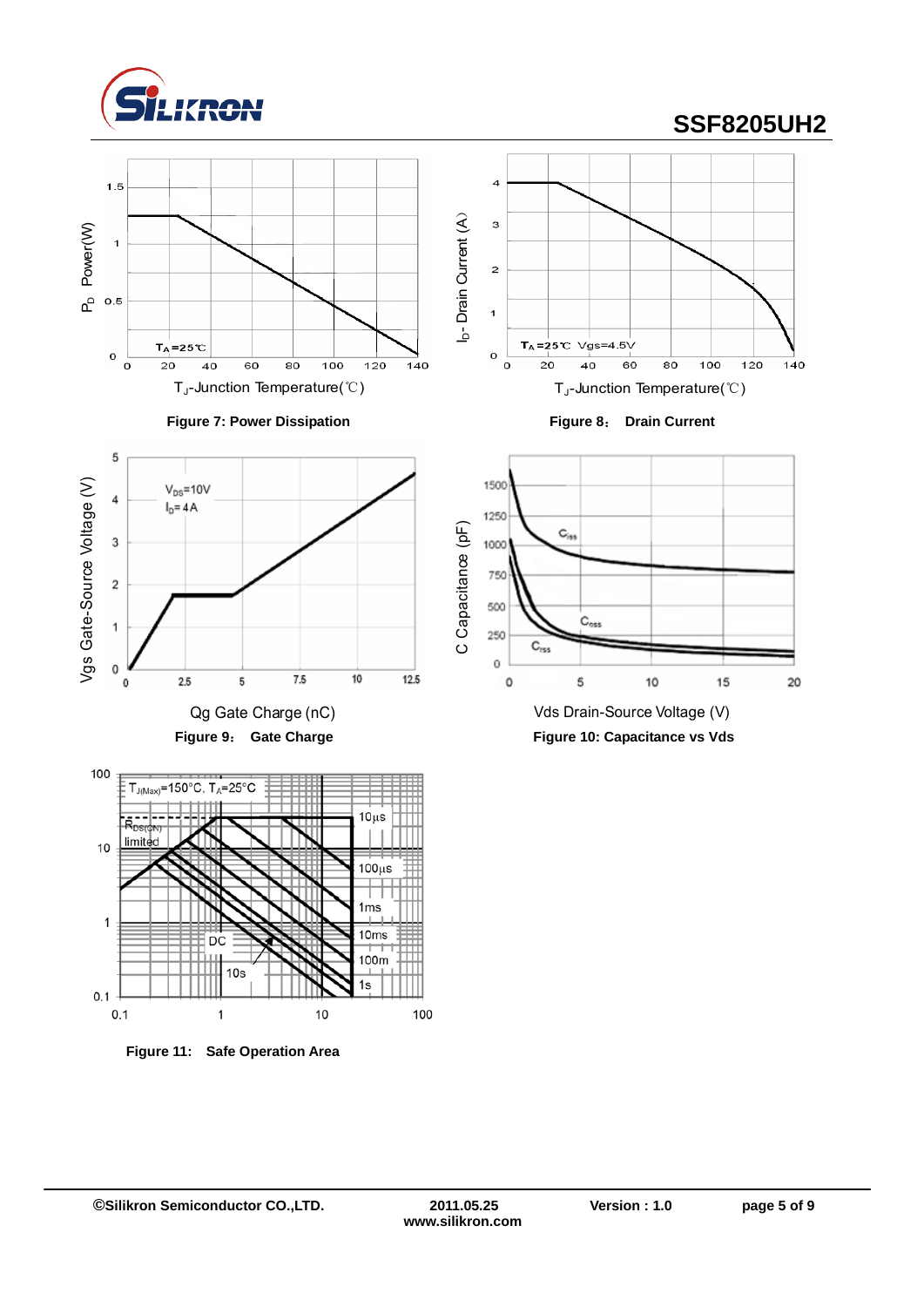

Vgs Gate-Source Voltage (V)

Vgs Gate-Source Voltage (V)

5

 $\overline{4}$ 

 $\overline{\mathbf{3}}$ 

 $\overline{\mathbf{c}}$ 

 $\overline{1}$ 

 $\mathbf 0$ 

 $\mathbf 0$ 

 $V_{DS} = 10V$ 

 $I<sub>D</sub> = 4A$ 

 $2.5$ 

5

# **SSF8205UH2**













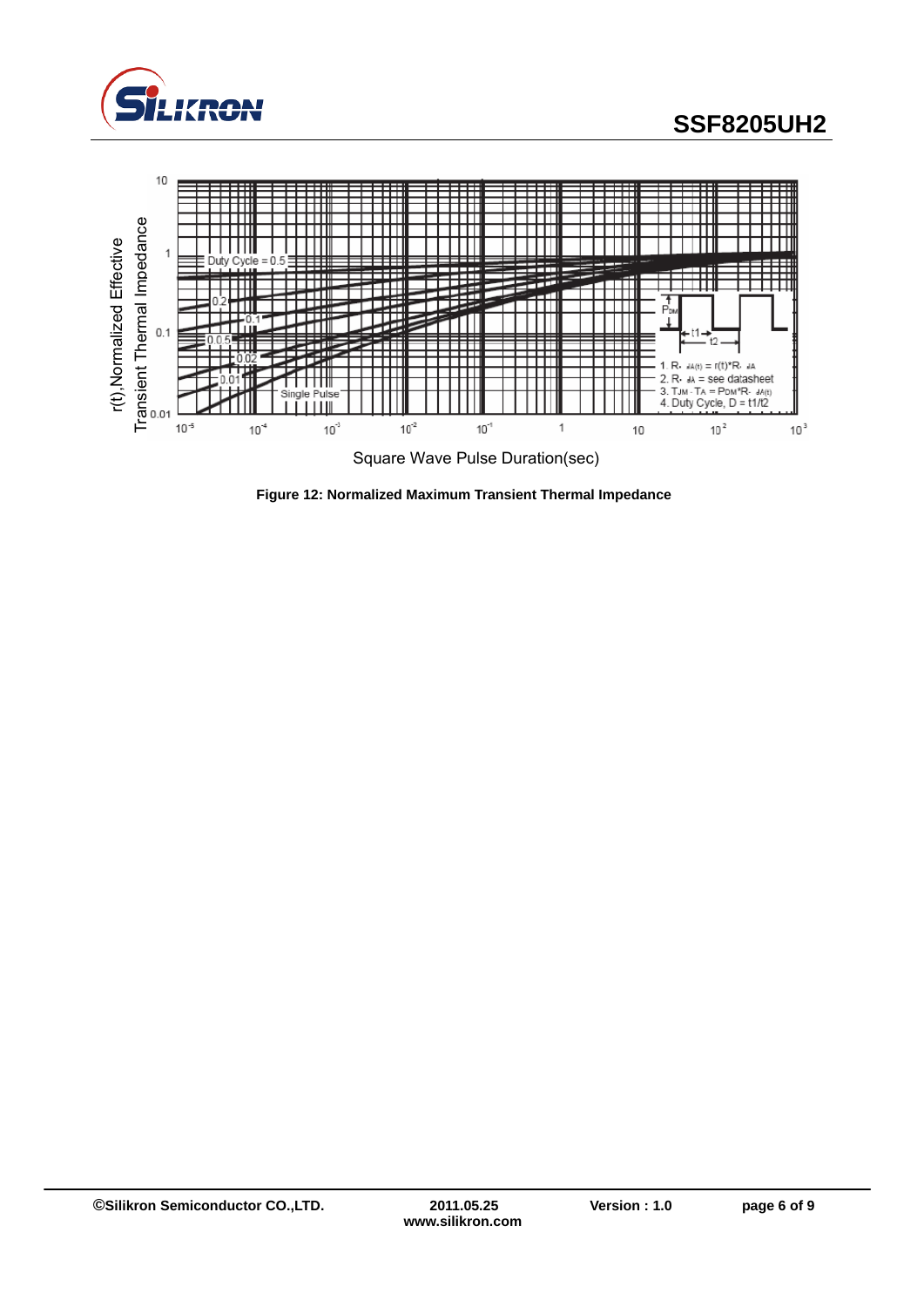



**Figure 12: Normalized Maximum Transient Thermal Impedance**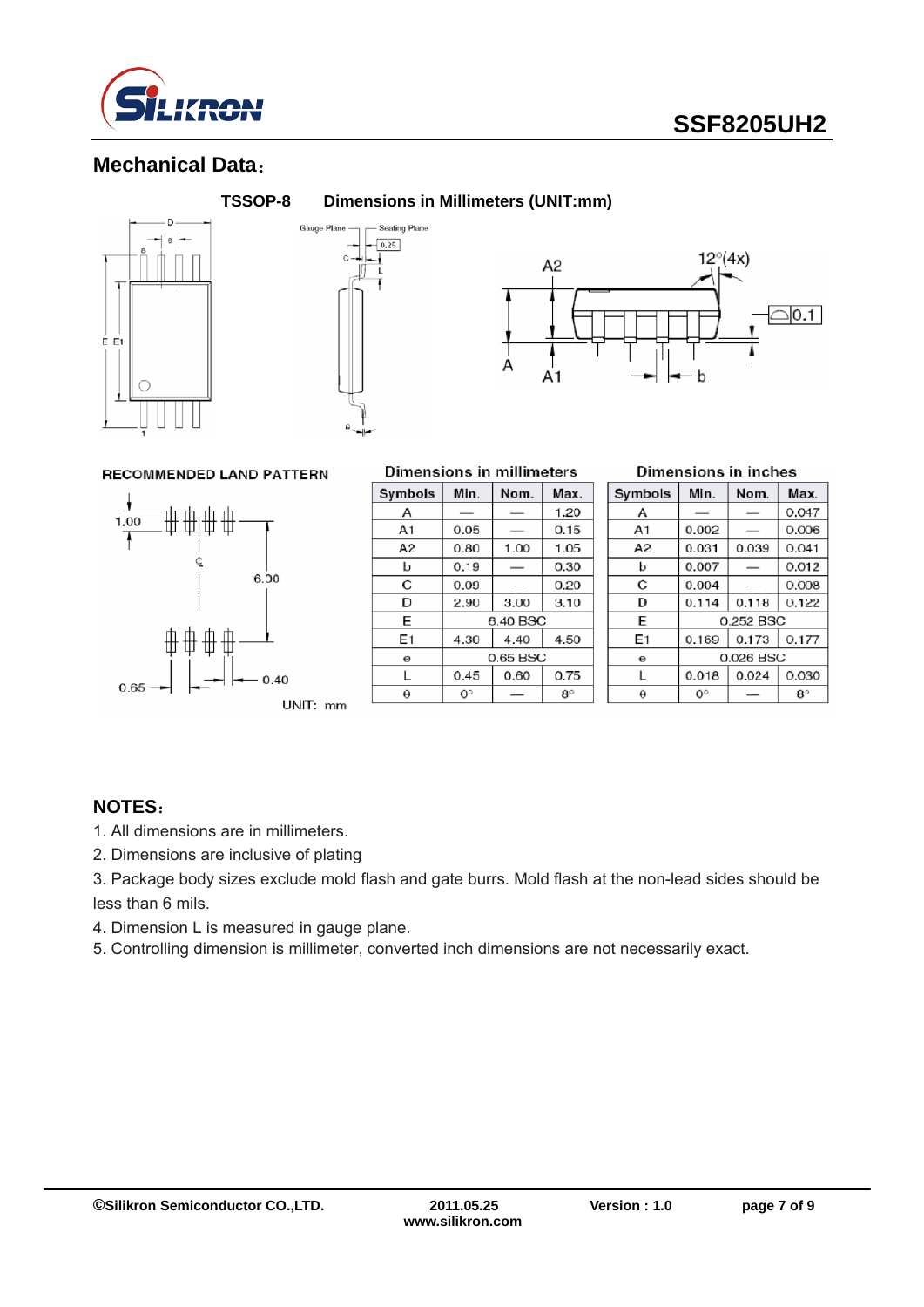

### **Mechanical Data**:







#### **RECOMMENDED LAND PATTERN**



#### **Dimensions in millimeters**

| Symbols  | Min.        | Nom.     | Max.      |  |
|----------|-------------|----------|-----------|--|
| А        |             |          | 1.20      |  |
| A1       | 0.05        |          | 0.15      |  |
| A2       | 0.80        | 1.00     | 1.05      |  |
| b        | 0.19        |          | 0.30      |  |
| C        | 0.09        |          | 0.20      |  |
| D        | 2.90        | 3.00     | 3.10      |  |
| E        |             | 6.40 BSC |           |  |
| E1       | 4.30        | 4.40     | 4.50      |  |
| $\Theta$ | 0.65 BSC    |          |           |  |
| L        | 0.45        | 0.60     | 0.75      |  |
| θ        | $0^{\circ}$ |          | $8^\circ$ |  |

#### Dimensions in inches

| Symbols | Min.        | Nom.      | Max.        |
|---------|-------------|-----------|-------------|
| Α       |             |           | 0.047       |
| A1      | 0.002       |           | 0.006       |
| А2      | 0.031       | 0.039     | 0.041       |
| b       | 0.007       |           | 0.012       |
| C       | 0.004       |           | 0.008       |
| D       | 0.114       | 0.118     | 0.122       |
| E       |             | 0.252 BSC |             |
| E1      | 0.169       | 0.173     | 0.177       |
| θ       | 0.026 BSC   |           |             |
| L       | 0.018       | 0.024     | 0.030       |
| θ       | $0^{\circ}$ |           | $8^{\circ}$ |

#### **NOTES**:

- 1. All dimensions are in millimeters.
- 2. Dimensions are inclusive of plating
- 3. Package body sizes exclude mold flash and gate burrs. Mold flash at the non-lead sides should be less than 6 mils.
- 4. Dimension L is measured in gauge plane.
- 5. Controlling dimension is millimeter, converted inch dimensions are not necessarily exact.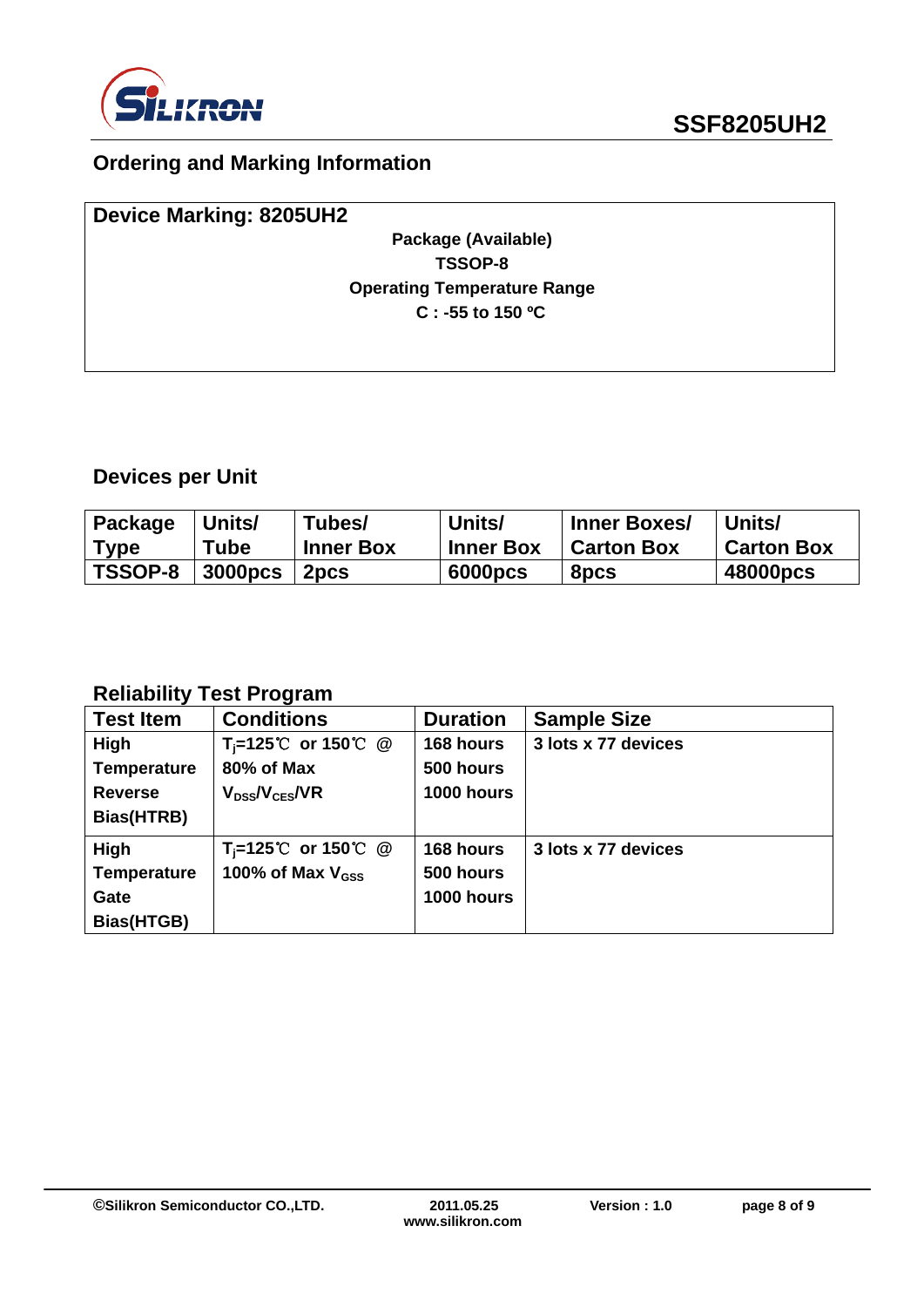

## **Ordering and Marking Information**

| <b>Device Marking: 8205UH2</b>     |  |
|------------------------------------|--|
| Package (Available)                |  |
| TSSOP-8                            |  |
| <b>Operating Temperature Range</b> |  |
| $C: -55$ to 150 °C                 |  |
|                                    |  |
|                                    |  |

## **Devices per Unit**

| Package        | Units/         | Tubes/           | Units/           | <b>Inner Boxes/</b> | Units/            |
|----------------|----------------|------------------|------------------|---------------------|-------------------|
| Type           | <b>Tube</b>    | <b>Inner Box</b> | <b>Inner Box</b> | <b>Carton Box</b>   | <b>Carton Box</b> |
| <b>TSSOP-8</b> | <b>3000pcs</b> | 2 <sub>pcs</sub> | 6000pcs          | 8pcs                | 48000pcs          |

### **Reliability Test Program**

| <b>Test Item</b>   | <b>Conditions</b>                         | <b>Duration</b> | <b>Sample Size</b>  |
|--------------------|-------------------------------------------|-----------------|---------------------|
| High               | T <sub>i</sub> =125℃ or 150℃ @            | 168 hours       | 3 lots x 77 devices |
| <b>Temperature</b> | 80% of Max                                | 500 hours       |                     |
| <b>Reverse</b>     | $V_{DS}$ / $V_{CES}$ /VR                  | 1000 hours      |                     |
| Bias(HTRB)         |                                           |                 |                     |
| High               | $T_i = 125^{\circ}$ or 150 °C $\circledR$ | 168 hours       | 3 lots x 77 devices |
| <b>Temperature</b> | 100% of Max $V_{\rm GSS}$                 | 500 hours       |                     |
| Gate               |                                           | 1000 hours      |                     |
| Bias(HTGB)         |                                           |                 |                     |